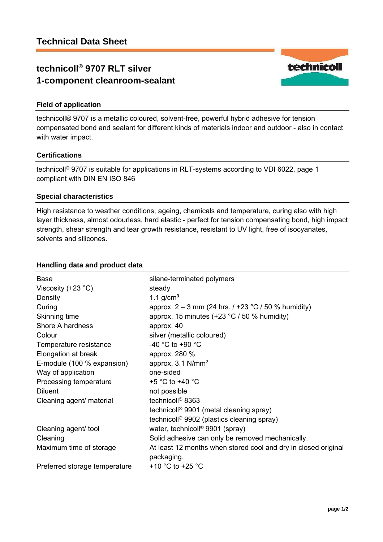# **technicoll® 9707 RLT silver 1-component cleanroom-sealant**



technicoll® 9707 is a metallic coloured, solvent-free, powerful hybrid adhesive for tension compensated bond and sealant for different kinds of materials indoor and outdoor - also in contact with water impact.

#### **Certifications**

technicoll® 9707 is suitable for applications in RLT-systems according to VDI 6022, page 1 compliant with DIN EN ISO 846

#### **Special characteristics**

High resistance to weather conditions, ageing, chemicals and temperature, curing also with high layer thickness, almost odourless, hard elastic - perfect for tension compensating bond, high impact strength, shear strength and tear growth resistance, resistant to UV light, free of isocyanates, solvents and silicones.

### **Handling data and product data**

| <b>Base</b><br>Viscosity $(+23 °C)$ | silane-terminated polymers<br>steady                                         |
|-------------------------------------|------------------------------------------------------------------------------|
| Density                             | 1.1 $g/cm3$                                                                  |
| Curing                              | approx. $2 - 3$ mm (24 hrs. $/ +23$ °C $/ 50$ % humidity)                    |
| Skinning time                       | approx. 15 minutes $(+23 °C / 50 %$ humidity)                                |
| Shore A hardness                    | approx. 40                                                                   |
| Colour                              | silver (metallic coloured)                                                   |
| Temperature resistance              | -40 °C to +90 °C                                                             |
| Elongation at break                 | approx. 280 %                                                                |
| E-module (100 % expansion)          | approx. $3.1$ N/mm <sup>2</sup>                                              |
| Way of application                  | one-sided                                                                    |
| Processing temperature              | +5 $^{\circ}$ C to +40 $^{\circ}$ C                                          |
| <b>Diluent</b>                      | not possible                                                                 |
| Cleaning agent/ material            | technicoll <sup>®</sup> 8363                                                 |
|                                     | technicoll <sup>®</sup> 9901 (metal cleaning spray)                          |
|                                     | technicoll <sup>®</sup> 9902 (plastics cleaning spray)                       |
| Cleaning agent/ tool                | water, technicoll <sup>®</sup> 9901 (spray)                                  |
| Cleaning                            | Solid adhesive can only be removed mechanically.                             |
| Maximum time of storage             | At least 12 months when stored cool and dry in closed original<br>packaging. |
| Preferred storage temperature       | +10 $^{\circ}$ C to +25 $^{\circ}$ C                                         |